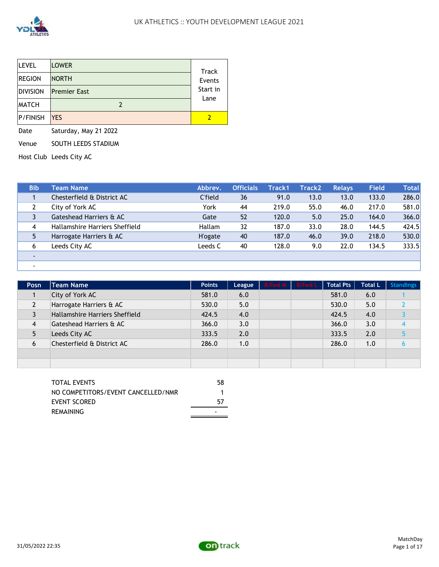

| <b>LEVEL</b>    | <b>LOWER</b>        | Track            |
|-----------------|---------------------|------------------|
| <b>REGION</b>   | <b>NORTH</b>        | Events           |
| <b>DIVISION</b> | <b>Premier East</b> | Start in<br>Lane |
| <b>MATCH</b>    |                     |                  |
| <b>P/FINISH</b> | <b>IYES</b>         |                  |

Date Saturday, May 21 2022

Venue SOUTH LEEDS STADIUM

Host Club Leeds City AC

| <b>Bib</b> | Team Name                      | Abbrev.         | <b>Officials</b> | Track1 | <b>Track2</b> | <b>Relays</b> | Field | <b>Total</b> |
|------------|--------------------------------|-----------------|------------------|--------|---------------|---------------|-------|--------------|
|            | Chesterfield & District AC     | C'field         | 36               | 91.0   | 13.0          | 13.0          | 133.0 | 286.0        |
|            | City of York AC                | York            | 44               | 219.0  | 55.0          | 46.0          | 217.0 | 581.0        |
|            | Gateshead Harriers & AC        | Gate            | 52               | 120.0  | 5.0           | 25.0          | 164.0 | 366.0        |
| 4          | Hallamshire Harriers Sheffield | Hallam          | 32               | 187.0  | 33.0          | 28.0          | 144.5 | 424.5        |
|            | Harrogate Harriers & AC        | <b>H</b> 'ogate | 40               | 187.0  | 46.0          | 39.0          | 218.0 | 530.0        |
| 6          | Leeds City AC                  | Leeds C         | 40               | 128.0  | 9.0           | 22.0          | 134.5 | 333.5        |
|            |                                |                 |                  |        |               |               |       |              |
|            |                                |                 |                  |        |               |               |       |              |

| <b>Posn</b> | Team Name ,                    | <b>Points</b> | League | B/fwd M B/fwd L | <b>Total Pts</b> | <b>Total L</b> | <b>Standings</b> |
|-------------|--------------------------------|---------------|--------|-----------------|------------------|----------------|------------------|
|             | City of York AC                | 581.0         | 6.0    |                 | 581.0            | 6.0            |                  |
|             | Harrogate Harriers & AC        | 530.0         | 5.0    |                 | 530.0            | 5.0            |                  |
|             | Hallamshire Harriers Sheffield | 424.5         | 4.0    |                 | 424.5            | 4.0            |                  |
| 4           | Gateshead Harriers & AC        | 366.0         | 3.0    |                 | 366.0            | 3.0            |                  |
|             | Leeds City AC                  | 333.5         | 2.0    |                 | 333.5            | 2.0            |                  |
| 6           | Chesterfield & District AC     | 286.0         | 1.0    |                 | 286.0            | 1.0            |                  |
|             |                                |               |        |                 |                  |                |                  |
|             |                                |               |        |                 |                  |                |                  |

| TOTAL EVENTS                       | 58 |
|------------------------------------|----|
| NO COMPETITORS/EVENT CANCELLED/NMR |    |
| EVENT SCORED                       | 57 |
| REMAINING                          |    |

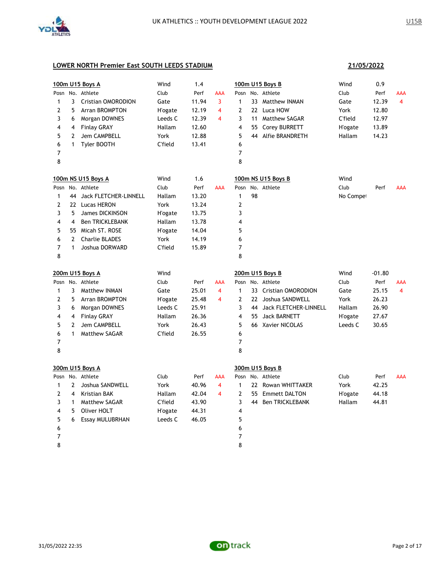

|              |                         | 100m U15 Boys A          | Wind            | 1.4   |                         |                |    | 100m U15 Boys B        | Wind            | 0.9      |                |
|--------------|-------------------------|--------------------------|-----------------|-------|-------------------------|----------------|----|------------------------|-----------------|----------|----------------|
|              |                         | Posn No. Athlete         | Club            | Perf  | <b>AAA</b>              |                |    | Posn No. Athlete       | Club            | Perf     | AAA            |
| $\mathbf{1}$ | 3                       | Cristian OMORODION       | Gate            | 11.94 | 3                       | $\mathbf{1}$   |    | 33 Matthew INMAN       | Gate            | 12.39    | $\overline{4}$ |
| 2            | 5                       | <b>Arran BROMPTON</b>    | <b>H</b> 'ogate | 12.19 | 4                       | $\mathbf{2}$   |    | 22 Luca HOW            | York            | 12.80    |                |
| 3            | 6                       | Morgan DOWNES            | Leeds C         | 12.39 | $\overline{\mathbf{4}}$ | 3              |    | 11 Matthew SAGAR       | <b>C'field</b>  | 12.97    |                |
| 4            | 4                       | <b>Finlay GRAY</b>       | Hallam          | 12.60 |                         | 4              |    | 55 Corey BURRETT       | <b>H'ogate</b>  | 13.89    |                |
| 5            | 2                       | Jem CAMPBELL             | York            | 12.88 |                         | 5              | 44 | Alfie BRANDRETH        | Hallam          | 14.23    |                |
| 6            | $\mathbf{1}$            | Tyler BOOTH              | <b>C'field</b>  | 13.41 |                         | 6              |    |                        |                 |          |                |
| 7            |                         |                          |                 |       |                         | $\overline{7}$ |    |                        |                 |          |                |
| 8            |                         |                          |                 |       |                         | 8              |    |                        |                 |          |                |
|              |                         | 100m NS U15 Boys A       | Wind            | 1.6   |                         |                |    | 100m NS U15 Boys B     | Wind            |          |                |
| Posn         |                         | No. Athlete              | Club            | Perf  | <b>AAA</b>              | Posn           |    | No. Athlete            | Club            | Perf     | AAA            |
| 1            |                         | 44 Jack FLETCHER-LINNELL | Hallam          | 13.20 |                         | $\mathbf{1}$   | 98 |                        | No Compet       |          |                |
| 2            |                         | 22 Lucas HERON           | York            | 13.24 |                         | $\mathbf{2}$   |    |                        |                 |          |                |
| 3            | 5                       | James DICKINSON          | <b>H'ogate</b>  | 13.75 |                         | 3              |    |                        |                 |          |                |
| 4            | $\overline{\mathbf{4}}$ | <b>Ben TRICKLEBANK</b>   | Hallam          | 13.78 |                         | 4              |    |                        |                 |          |                |
| 5            |                         | 55 Micah ST. ROSE        | <b>H</b> 'ogate | 14.04 |                         | 5              |    |                        |                 |          |                |
| 6            | $\overline{2}$          | <b>Charlie BLADES</b>    | York            | 14.19 |                         | 6              |    |                        |                 |          |                |
| 7            | 1                       | Joshua DORWARD           | <b>C'field</b>  | 15.89 |                         | $\overline{7}$ |    |                        |                 |          |                |
| 8            |                         |                          |                 |       |                         | 8              |    |                        |                 |          |                |
|              |                         | 200m U15 Boys A          | Wind            |       |                         |                |    | 200m U15 Boys B        | Wind            | $-01.80$ |                |
|              |                         | Posn No. Athlete         | Club            | Perf  | AAA                     | Posn           |    | No. Athlete            | Club            | Perf     | AAA            |
| $\mathbf{1}$ | 3                       | <b>Matthew INMAN</b>     | Gate            | 25.01 | 4                       | $\mathbf{1}$   |    | 33 Cristian OMORODION  | Gate            | 25.15    | $\overline{4}$ |
| 2            | 5                       | Arran BROMPTON           | <b>H</b> 'ogate | 25.48 | $\overline{\mathbf{4}}$ | $\overline{2}$ |    | 22 Joshua SANDWELL     | York            | 26.23    |                |
| 3            | 6                       | Morgan DOWNES            | Leeds C         | 25.91 |                         | 3              | 44 | Jack FLETCHER-LINNELL  | Hallam          | 26.90    |                |
| 4            | $\overline{4}$          | <b>Finlay GRAY</b>       | Hallam          | 26.36 |                         | 4              | 55 | <b>Jack BARNETT</b>    | <b>H</b> 'ogate | 27.67    |                |
| 5            | $\overline{2}$          | Jem CAMPBELL             | York            | 26.43 |                         | 5              |    | 66 Xavier NICOLAS      | Leeds C         | 30.65    |                |
| 6            | $\mathbf{1}$            | <b>Matthew SAGAR</b>     | C'field         | 26.55 |                         | 6              |    |                        |                 |          |                |
| 7            |                         |                          |                 |       |                         | $\overline{7}$ |    |                        |                 |          |                |
| 8            |                         |                          |                 |       |                         | 8              |    |                        |                 |          |                |
|              |                         | 300m U15 Boys A          |                 |       |                         |                |    | 300m U15 Boys B        |                 |          |                |
|              |                         | Posn No. Athlete         | Club            | Perf  | AAA                     |                |    | Posn No. Athlete       | Club            | Perf     | <b>AAA</b>     |
| 1            | $\overline{2}$          | Joshua SANDWELL          | York            | 40.96 | $\overline{4}$          | $\mathbf{1}$   |    | 22 Rowan WHITTAKER     | York            | 42.25    |                |
| 2            | 4                       | Kristian BAK             | Hallam          | 42.04 | 4                       | $\overline{2}$ | 55 | <b>Emmett DALTON</b>   | H'ogate         | 44.18    |                |
| 3            | 1                       | Matthew SAGAR            | C'field         | 43.90 |                         | 3              | 44 | <b>Ben TRICKLEBANK</b> | Hallam          | 44.81    |                |
| 4            | 5                       | Oliver HOLT              | <b>H'ogate</b>  | 44.31 |                         | 4              |    |                        |                 |          |                |
| 5            | 6                       | <b>Essay MULUBRHAN</b>   | Leeds C         | 46.05 |                         | 5              |    |                        |                 |          |                |
| 6            |                         |                          |                 |       |                         | 6              |    |                        |                 |          |                |
| 7            |                         |                          |                 |       |                         | $\overline{7}$ |    |                        |                 |          |                |
| 8            |                         |                          |                 |       |                         | 8              |    |                        |                 |          |                |

**21/05/2022**

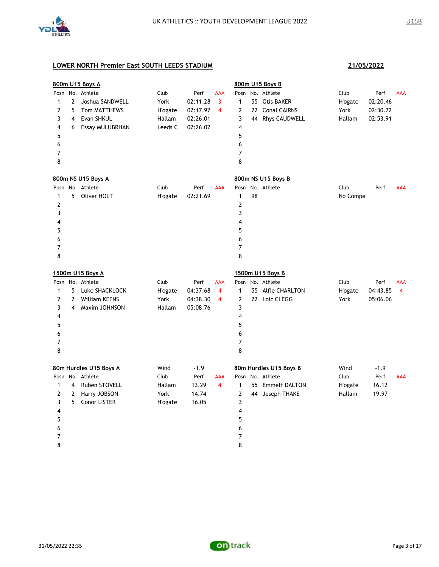

|      |                | 800m U15 Boys A        |                 |          |                         |                |    | 800m U15 Boys B        |                 |          |            |
|------|----------------|------------------------|-----------------|----------|-------------------------|----------------|----|------------------------|-----------------|----------|------------|
| Posn |                | No. Athlete            | Club            | Perf     | <b>AAA</b>              | Posn           |    | No. Athlete            | Club            | Perf     | AAA        |
| 1    | $\overline{2}$ | Joshua SANDWELL        | York            | 02:11.28 | $\overline{\mathbf{3}}$ | $\mathbf{1}$   |    | 55 Otis BAKER          | <b>H</b> 'ogate | 02:20.46 |            |
| 2    | 5              | Tom MATTHEWS           | <b>H</b> 'ogate | 02:17.92 | 4                       | $\overline{2}$ |    | 22 Conal CAIRNS        | York            | 02:30.72 |            |
| 3    | 4              | Evan SHKUL             | Hallam          | 02:26.01 |                         | 3              |    | 44 Rhys CAUDWELL       | Hallam          | 02:53.91 |            |
| 4    | 6              | <b>Essay MULUBRHAN</b> | Leeds C         | 02:26.02 |                         | 4              |    |                        |                 |          |            |
| 5    |                |                        |                 |          |                         | 5              |    |                        |                 |          |            |
| 6    |                |                        |                 |          |                         | 6              |    |                        |                 |          |            |
| 7    |                |                        |                 |          |                         | 7              |    |                        |                 |          |            |
| 8    |                |                        |                 |          |                         | 8              |    |                        |                 |          |            |
|      |                | 800m NS U15 Boys A     |                 |          |                         |                |    | 800m NS U15 Boys B     |                 |          |            |
|      |                | Posn No. Athlete       | Club            | Perf     | <b>AAA</b>              | Posn           |    | No. Athlete            | Club            | Perf     | <b>AAA</b> |
| 1    | 5              | Oliver HOLT            | H'ogate         | 02:21.69 |                         | 1              | 98 |                        | No Compet       |          |            |
| 2    |                |                        |                 |          |                         | $\overline{2}$ |    |                        |                 |          |            |
| 3    |                |                        |                 |          |                         | 3              |    |                        |                 |          |            |
| 4    |                |                        |                 |          |                         | 4              |    |                        |                 |          |            |
| 5    |                |                        |                 |          |                         | 5              |    |                        |                 |          |            |
| 6    |                |                        |                 |          |                         | 6              |    |                        |                 |          |            |
| 7    |                |                        |                 |          |                         | 7              |    |                        |                 |          |            |
| 8    |                |                        |                 |          |                         | 8              |    |                        |                 |          |            |
|      |                | 1500m U15 Boys A       |                 |          |                         |                |    | 1500m U15 Boys B       |                 |          |            |
|      |                | Posn No. Athlete       | Club            | Perf     | <b>AAA</b>              |                |    | Posn No. Athlete       | Club            | Perf     | AAA        |
| 1    | 5              | Luke SHACKLOCK         | <b>H</b> 'ogate | 04:37.68 | $\overline{4}$          | $\mathbf{1}$   |    | 55 Alfie CHARLTON      | <b>H'ogate</b>  | 04:43.85 | 4          |
| 2    | $\overline{2}$ | <b>William KEENS</b>   | York            | 04:38.30 | 4                       | $\overline{2}$ |    | 22 Loic CLEGG          | York            | 05:06.06 |            |
| 3    | 4              | Maxim JOHNSON          | Hallam          | 05:08.76 |                         | 3              |    |                        |                 |          |            |
| 4    |                |                        |                 |          |                         | 4              |    |                        |                 |          |            |
| 5    |                |                        |                 |          |                         | 5              |    |                        |                 |          |            |
| 6    |                |                        |                 |          |                         | 6              |    |                        |                 |          |            |
| 7    |                |                        |                 |          |                         | 7              |    |                        |                 |          |            |
| 8    |                |                        |                 |          |                         | 8              |    |                        |                 |          |            |
|      |                | 80m Hurdles U15 Boys A | Wind            | $-1.9$   |                         |                |    | 80m Hurdles U15 Boys B | Wind            | $-1.9$   |            |
| Posn |                | No. Athlete            | Club            | Perf     | AAA                     |                |    | Posn No. Athlete       | Club            | Perf     | <b>AAA</b> |
| 1    | 4              | Ruben STOVELL          | Hallam          | 13.29    | $\overline{4}$          | $\mathbf{1}$   |    | 55 Emmett DALTON       | <b>H</b> 'ogate | 16.12    |            |
| 2    | $\mathbf{2}$   | Harry JOBSON           | York            | 14.74    |                         | $\mathbf{2}$   |    | 44 Joseph THAKE        | Hallam          | 19.97    |            |
| 3    | 5              | <b>Conor LISTER</b>    | <b>H</b> 'ogate | 16.05    |                         | 3              |    |                        |                 |          |            |
| 4    |                |                        |                 |          |                         | 4              |    |                        |                 |          |            |
| 5    |                |                        |                 |          |                         | 5              |    |                        |                 |          |            |
| 6    |                |                        |                 |          |                         | 6              |    |                        |                 |          |            |
| 7    |                |                        |                 |          |                         | 7              |    |                        |                 |          |            |
| 8    |                |                        |                 |          |                         | 8              |    |                        |                 |          |            |

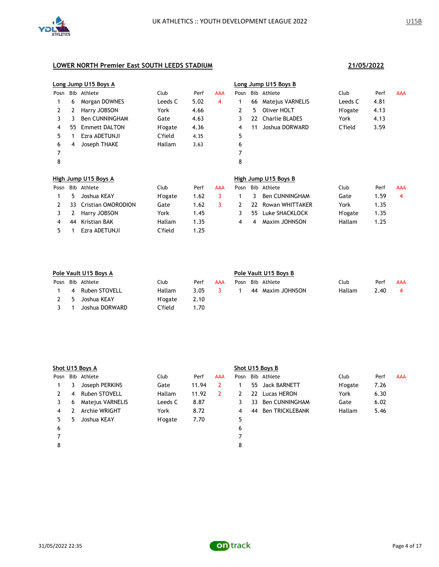

|      |    | Long Jump U15 Boys A      |                 |      |     |      |    | Long Jump U15 Boys B  |                 |      |            |
|------|----|---------------------------|-----------------|------|-----|------|----|-----------------------|-----------------|------|------------|
| Posn |    | Bib Athlete               | Club            | Perf | AAA | Posn |    | Bib Athlete           | Club            | Perf | <b>AAA</b> |
|      | 6  | Morgan DOWNES             | Leeds C         | 5.02 | 4   | 1    | 66 | Matejus VARNELIS      | Leeds C         | 4.81 |            |
| 2    | 2  | Harry JOBSON              | York            | 4.66 |     | 2    | 5  | Oliver HOLT           | <b>H</b> 'ogate | 4.13 |            |
| 3    | 3  | <b>Ben CUNNINGHAM</b>     | Gate            | 4.63 |     | 3    | 22 | <b>Charlie BLADES</b> | York            | 4.13 |            |
| 4    | 55 | <b>Emmett DALTON</b>      | H'ogate         | 4.36 |     | 4    | 11 | Joshua DORWARD        | C'field         | 3.59 |            |
| 5    |    | Ezra ADETUNJI             | C'field         | 4.35 |     | 5    |    |                       |                 |      |            |
| 6    | 4  | Joseph THAKE              | Hallam          | 3.63 |     | 6    |    |                       |                 |      |            |
| 7    |    |                           |                 |      |     | 7    |    |                       |                 |      |            |
| 8    |    |                           |                 |      |     | 8    |    |                       |                 |      |            |
|      |    | High Jump U15 Boys A      |                 |      |     |      |    | High Jump U15 Boys B  |                 |      |            |
| Posn |    | Bib Athlete               | Club            | Perf | AAA | Posn |    | Bib Athlete           | Club            | Perf | <b>AAA</b> |
|      | 5  | Joshua KEAY               | <b>H</b> 'ogate | 1.62 | 3   | 1    | 3  | <b>Ben CUNNINGHAM</b> | Gate            | 1.59 | 4          |
| 2    | 33 | <b>Cristian OMORODION</b> | Gate            | 1.62 | 3   | 2    | 22 | Rowan WHITTAKER       | York            | 1.35 |            |
| 3    | 2  | Harry JOBSON              | York            | 1.45 |     | 3    | 55 | Luke SHACKLOCK        | H'ogate         | 1.35 |            |
| 4    | 44 | <b>Kristian BAK</b>       | Hallam          | 1.35 |     | 4    | 4  | Maxim JOHNSON         | Hallam          | 1.25 |            |
| 5.   |    | Ezra ADETUNJI             | C'field         | 1.25 |     |      |    |                       |                 |      |            |

| Pole Vault U15 Boys A |                  |                 |      |     |      | Pole Vault U15 Boys B |                  |        |      |     |  |  |
|-----------------------|------------------|-----------------|------|-----|------|-----------------------|------------------|--------|------|-----|--|--|
|                       | Posn Bib Athlete | Club            | Perf | AAA | Posn |                       | Bib Athlete      | Club   | Perf | AAA |  |  |
| 4                     | Ruben STOVELL    | Hallam          | 3.05 | 3.  |      |                       | 44 Maxim JOHNSON | Hallam | 2.40 | 4   |  |  |
| -5                    | Joshua KEAY      | <b>H</b> 'ogate | 2.10 |     |      |                       |                  |        |      |     |  |  |
|                       | Joshua DORWARD   | C'field         | 70.١ |     |      |                       |                  |        |      |     |  |  |

|      | Shot U15 Boys A |                  |                 |       |     |   | Shot U15 Boys B |                  |                 |      |            |
|------|-----------------|------------------|-----------------|-------|-----|---|-----------------|------------------|-----------------|------|------------|
| Posn |                 | Bib Athlete      | Club            | Perf  | AAA |   |                 | Posn Bib Athlete | Club            | Perf | <b>AAA</b> |
|      | 3.              | Joseph PERKINS   | Gate            | 11.94 | 2   |   | 55.             | Jack BARNETT     | <b>H</b> 'ogate | 7.26 |            |
| 2    | 4               | Ruben STOVELL    | Hallam          | 11.92 | 2   |   | 22              | Lucas HERON      | York            | 6.30 |            |
| 3    | 6               | Matejus VARNELIS | Leeds C         | 8.87  |     | 3 | 33              | Ben CUNNINGHAM   | Gate            | 6.02 |            |
| 4    |                 | Archie WRIGHT    | York            | 8.72  |     | 4 | 44              | Ben TRICKLEBANK  | <b>Hallam</b>   | 5.46 |            |
| 5.   | 5               | Joshua KEAY      | <b>H</b> 'ogate | 7.70  |     | 5 |                 |                  |                 |      |            |
| 6    |                 |                  |                 |       |     | 6 |                 |                  |                 |      |            |
|      |                 |                  |                 |       |     |   |                 |                  |                 |      |            |
| 8    |                 |                  |                 |       |     | 8 |                 |                  |                 |      |            |
|      |                 |                  |                 |       |     |   |                 |                  |                 |      |            |

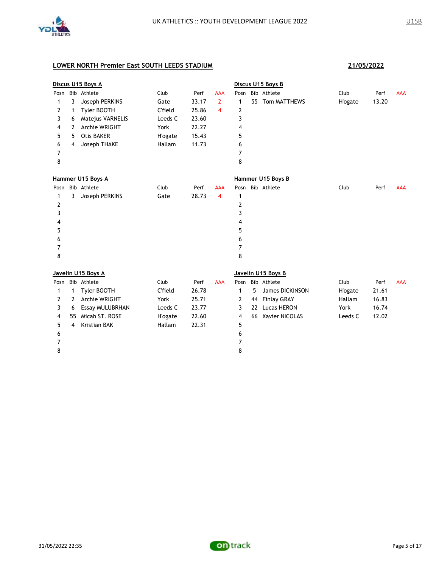

|      |                         | Discus U15 Boys A      |                |       |                |                |    | Discus U15 Boys B  |                 |       |            |
|------|-------------------------|------------------------|----------------|-------|----------------|----------------|----|--------------------|-----------------|-------|------------|
| Posn |                         | Bib Athlete            | Club           | Perf  | AAA            | Posn           |    | Bib Athlete        | Club            | Perf  | <b>AAA</b> |
| 1    | 3                       | Joseph PERKINS         | Gate           | 33.17 | $\overline{2}$ | $\mathbf{1}$   |    | 55 Tom MATTHEWS    | <b>H</b> 'ogate | 13.20 |            |
| 2    | 1                       | Tyler BOOTH            | C'field        | 25.86 | 4              | 2              |    |                    |                 |       |            |
| 3    | 6                       | Matejus VARNELIS       | Leeds C        | 23.60 |                | 3              |    |                    |                 |       |            |
| 4    | 2                       | Archie WRIGHT          | York           | 22.27 |                | 4              |    |                    |                 |       |            |
| 5    | 5                       | Otis BAKER             | <b>H'ogate</b> | 15.43 |                | 5              |    |                    |                 |       |            |
| 6    | 4                       | Joseph THAKE           | Hallam         | 11.73 |                | 6              |    |                    |                 |       |            |
| 7    |                         |                        |                |       |                | 7              |    |                    |                 |       |            |
| 8    |                         |                        |                |       |                | 8              |    |                    |                 |       |            |
|      |                         | Hammer U15 Boys A      |                |       |                |                |    | Hammer U15 Boys B  |                 |       |            |
| Posn |                         | Bib Athlete            | Club           | Perf  | <b>AAA</b>     | Posn           |    | Bib Athlete        | Club            | Perf  | <b>AAA</b> |
| 1    | 3                       | Joseph PERKINS         | Gate           | 28.73 | 4              | $\mathbf{1}$   |    |                    |                 |       |            |
| 2    |                         |                        |                |       |                | $\overline{2}$ |    |                    |                 |       |            |
| 3    |                         |                        |                |       |                | 3              |    |                    |                 |       |            |
| 4    |                         |                        |                |       |                | 4              |    |                    |                 |       |            |
| 5    |                         |                        |                |       |                | 5              |    |                    |                 |       |            |
| 6    |                         |                        |                |       |                | 6              |    |                    |                 |       |            |
| 7    |                         |                        |                |       |                | 7              |    |                    |                 |       |            |
| 8    |                         |                        |                |       |                | 8              |    |                    |                 |       |            |
|      |                         | Javelin U15 Boys A     |                |       |                |                |    | Javelin U15 Boys B |                 |       |            |
| Posn |                         | Bib Athlete            | Club           | Perf  | <b>AAA</b>     |                |    | Posn Bib Athlete   | Club            | Perf  | <b>AAA</b> |
| 1    | 1                       | Tyler BOOTH            | C'field        | 26.78 |                | 1              | 5  | James DICKINSON    | <b>H'ogate</b>  | 21.61 |            |
| 2    | 2                       | Archie WRIGHT          | York           | 25.71 |                | 2              | 44 | <b>Finlay GRAY</b> | Hallam          | 16.83 |            |
| 3    | 6                       | <b>Essay MULUBRHAN</b> | Leeds C        | 23.77 |                | 3              | 22 | <b>Lucas HERON</b> | York            | 16.74 |            |
| 4    | 55                      | Micah ST. ROSE         | <b>H'ogate</b> | 22.60 |                | 4              |    | 66 Xavier NICOLAS  | Leeds C         | 12.02 |            |
| 5    | $\overline{\mathbf{4}}$ | <b>Kristian BAK</b>    | Hallam         | 22.31 |                | 5              |    |                    |                 |       |            |
| 6    |                         |                        |                |       |                | 6              |    |                    |                 |       |            |
| 7    |                         |                        |                |       |                | 7              |    |                    |                 |       |            |
| 8    |                         |                        |                |       |                | 8              |    |                    |                 |       |            |
|      |                         |                        |                |       |                |                |    |                    |                 |       |            |

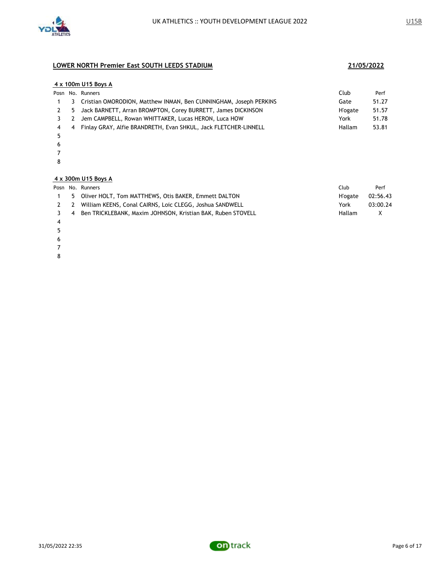

### **4 x 100m U15 Boys A**

|     | Club                                                                                                                                                                                                                                                                                       | Perf  |
|-----|--------------------------------------------------------------------------------------------------------------------------------------------------------------------------------------------------------------------------------------------------------------------------------------------|-------|
|     | Gate                                                                                                                                                                                                                                                                                       | 51.27 |
|     | <b>H'ogate</b>                                                                                                                                                                                                                                                                             | 51.57 |
|     | York                                                                                                                                                                                                                                                                                       | 51.78 |
| 4 4 | Hallam                                                                                                                                                                                                                                                                                     | 53.81 |
|     | Posn No. Runners<br>3 Cristian OMORODION, Matthew INMAN, Ben CUNNINGHAM, Joseph PERKINS<br>2 5 Jack BARNETT, Arran BROMPTON, Corey BURRETT, James DICKINSON<br>3 2 Jem CAMPBELL, Rowan WHITTAKER, Lucas HERON, Luca HOW<br>Finlay GRAY, Alfie BRANDRETH, Evan SHKUL, Jack FLETCHER-LINNELL |       |

- 
- 
- 

### **4 x 300m U15 Boys A**

|  | Posn No. Runners                                                | Club          | Perf     |
|--|-----------------------------------------------------------------|---------------|----------|
|  | 5 Oliver HOLT, Tom MATTHEWS, Otis BAKER, Emmett DALTON          | H'ogate       | 02:56.43 |
|  | 2 2 William KEENS, Conal CAIRNS, Loic CLEGG, Joshua SANDWELL    | York          | 03:00.24 |
|  | 3 4 Ben TRICKLEBANK, Maxim JOHNSON, Kristian BAK, Ruben STOVELL | <b>Hallam</b> | X        |
|  |                                                                 |               |          |

- 
- 
- 
- 
- 

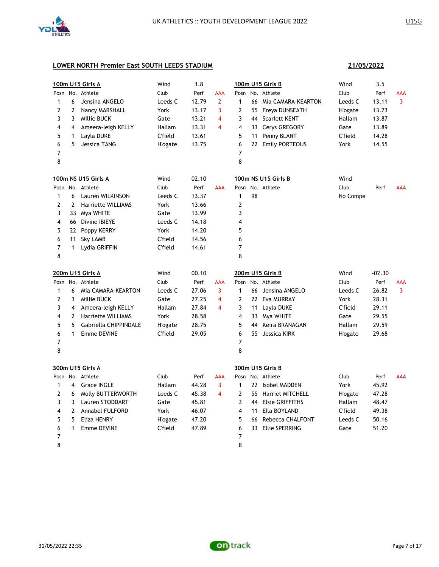

**21/05/2022**

| 1<br>2<br>3<br>4<br>5<br>6<br>7<br>8 | 6<br>$\overline{2}$<br>3<br>4<br>$\mathbf{1}$<br>5 | 100m U15 Girls A<br>Posn No. Athlete<br>Jensina ANGELO<br>Nancy MARSHALL<br>Millie BUCK<br>Ameera-leigh KELLY<br>Layla DUKE<br>Jessica TANG | Wind<br>Club<br>Leeds C<br>York<br>Gate<br>Hallam<br>C'field<br><b>H</b> 'ogate | 1.8<br>Perf<br>12.79<br>13.17<br>13.21<br>13.31<br>13.61<br>13.75 | AAA<br>$\overline{2}$<br>3<br>$\overline{4}$<br>4 | Posn<br>$\mathbf{1}$<br>2<br>3<br>4<br>5<br>6<br>$\overline{7}$<br>8 | 55<br>44<br>33<br>11 | 100m U15 Girls B<br>No. Athlete<br>66 Mia CAMARA-KEARTON<br>Freya DUNSEATH<br><b>Scarlett KENT</b><br>Cerys GREGORY<br>Penny BLANT<br>22 Emily PORTEOUS | Wind<br>Club<br>Leeds C<br><b>H'ogate</b><br>Hallam<br>Gate<br>C'field<br>York | 3.5<br>Perf<br>13.11<br>13.73<br>13.87<br>13.89<br>14.28<br>14.55 | AAA<br>3   |
|--------------------------------------|----------------------------------------------------|---------------------------------------------------------------------------------------------------------------------------------------------|---------------------------------------------------------------------------------|-------------------------------------------------------------------|---------------------------------------------------|----------------------------------------------------------------------|----------------------|---------------------------------------------------------------------------------------------------------------------------------------------------------|--------------------------------------------------------------------------------|-------------------------------------------------------------------|------------|
|                                      |                                                    | 100m NS U15 Girls A                                                                                                                         | Wind                                                                            | 02.10                                                             |                                                   |                                                                      |                      | 100m NS U15 Girls B                                                                                                                                     | Wind                                                                           |                                                                   |            |
|                                      |                                                    | Posn No. Athlete                                                                                                                            | Club                                                                            | Perf                                                              | AAA                                               | Posn                                                                 |                      | No. Athlete                                                                                                                                             | Club                                                                           | Perf                                                              | <b>AAA</b> |
| 1                                    | 6                                                  | Lauren WILKINSON                                                                                                                            | Leeds C                                                                         | 13.37                                                             |                                                   | $\mathbf{1}$                                                         | 98                   |                                                                                                                                                         | No Compet                                                                      |                                                                   |            |
| $\overline{2}$                       | $\overline{2}$                                     | <b>Harriette WILLIAMS</b>                                                                                                                   | York                                                                            | 13.66                                                             |                                                   | $\mathbf{2}$                                                         |                      |                                                                                                                                                         |                                                                                |                                                                   |            |
| 3                                    |                                                    | 33 Mya WHITE                                                                                                                                | Gate                                                                            | 13.99                                                             |                                                   | 3                                                                    |                      |                                                                                                                                                         |                                                                                |                                                                   |            |
| 4                                    |                                                    | 66 Divine IBIEYE                                                                                                                            | Leeds C                                                                         | 14.18                                                             |                                                   | 4                                                                    |                      |                                                                                                                                                         |                                                                                |                                                                   |            |
| 5                                    |                                                    | 22 Poppy KERRY                                                                                                                              | York                                                                            | 14.20                                                             |                                                   | 5                                                                    |                      |                                                                                                                                                         |                                                                                |                                                                   |            |
| 6                                    | 11                                                 | <b>Sky LAMB</b>                                                                                                                             | C'field                                                                         | 14.56                                                             |                                                   | 6                                                                    |                      |                                                                                                                                                         |                                                                                |                                                                   |            |
| $\overline{7}$                       | $\mathbf{1}$                                       | Lydia GRIFFIN                                                                                                                               | C'field                                                                         | 14.61                                                             |                                                   | $\overline{7}$                                                       |                      |                                                                                                                                                         |                                                                                |                                                                   |            |
| 8                                    |                                                    |                                                                                                                                             |                                                                                 |                                                                   |                                                   | 8                                                                    |                      |                                                                                                                                                         |                                                                                |                                                                   |            |
|                                      |                                                    | <b>200m U15 Girls A</b>                                                                                                                     | Wind                                                                            | 00.10                                                             |                                                   |                                                                      |                      | 200m U15 Girls B                                                                                                                                        | Wind                                                                           | $-02.30$                                                          |            |
|                                      |                                                    | Posn No. Athlete                                                                                                                            | Club                                                                            | Perf                                                              | AAA                                               | Posn                                                                 |                      | No. Athlete                                                                                                                                             | Club                                                                           | Perf                                                              | AAA        |
| 1                                    | 6                                                  | Mia CAMARA-KEARTON                                                                                                                          | Leeds C                                                                         | 27.06                                                             | 3                                                 | $\mathbf{1}$                                                         |                      | 66 Jensina ANGELO                                                                                                                                       | Leeds C                                                                        | 26.82                                                             | 3          |
| $\overline{2}$                       | 3                                                  | Millie BUCK                                                                                                                                 | Gate                                                                            | 27.25                                                             | 4                                                 | $\overline{2}$                                                       |                      | 22 Eva MURRAY                                                                                                                                           | York                                                                           | 28.31                                                             |            |
| 3                                    | 4                                                  | Ameera-leigh KELLY                                                                                                                          | Hallam                                                                          | 27.84                                                             | 4                                                 | 3                                                                    | 11                   | Layla DUKE                                                                                                                                              | C'field                                                                        | 29.11                                                             |            |
| 4                                    | $\mathbf{2}$                                       | <b>Harriette WILLIAMS</b>                                                                                                                   | York                                                                            | 28.58                                                             |                                                   | 4                                                                    |                      | 33 Mya WHITE                                                                                                                                            | Gate                                                                           | 29.55                                                             |            |
| 5                                    | 5                                                  | Gabriella CHIPPINDALE                                                                                                                       | H'ogate                                                                         | 28.75                                                             |                                                   | 5                                                                    | 44                   | Keira BRANAGAN                                                                                                                                          | Hallam                                                                         | 29.59                                                             |            |
| 6                                    | $\mathbf{1}$                                       | <b>Emme DEVINE</b>                                                                                                                          | C'field                                                                         | 29.05                                                             |                                                   | 6                                                                    | 55                   | Jessica KIRK                                                                                                                                            | <b>H'ogate</b>                                                                 | 29.68                                                             |            |
| 7                                    |                                                    |                                                                                                                                             |                                                                                 |                                                                   |                                                   | 7                                                                    |                      |                                                                                                                                                         |                                                                                |                                                                   |            |
| 8                                    |                                                    |                                                                                                                                             |                                                                                 |                                                                   |                                                   | 8                                                                    |                      |                                                                                                                                                         |                                                                                |                                                                   |            |
|                                      |                                                    | <b>300m U15 Girls A</b>                                                                                                                     |                                                                                 |                                                                   |                                                   |                                                                      |                      | 300m U15 Girls B                                                                                                                                        |                                                                                |                                                                   |            |
|                                      |                                                    | Posn No. Athlete                                                                                                                            | Club                                                                            | Perf                                                              | AAA                                               | Posn                                                                 |                      | No. Athlete                                                                                                                                             | Club                                                                           | Perf                                                              | <b>AAA</b> |
| 1                                    | 4                                                  | <b>Grace INGLE</b>                                                                                                                          | Hallam                                                                          | 44.28                                                             | 3                                                 | $\mathbf{1}$                                                         |                      | 22 Isobel MADDEN                                                                                                                                        | York                                                                           | 45.92                                                             |            |
| $\mathbf{2}$                         | 6                                                  | Molly BUTTERWORTH                                                                                                                           | Leeds C                                                                         | 45.38                                                             | $\overline{4}$                                    | $\mathbf{2}$                                                         | 55                   | Harriet MITCHELL                                                                                                                                        | <b>H</b> 'ogate                                                                | 47.28                                                             |            |
| 3                                    | 3                                                  | Lauren STODDART                                                                                                                             | Gate                                                                            | 45.81                                                             |                                                   | 3                                                                    |                      | 44 Elsie GRIFFITHS                                                                                                                                      | Hallam                                                                         | 48.47                                                             |            |
| 4                                    | $\overline{2}$                                     | <b>Annabel FULFORD</b>                                                                                                                      | York                                                                            | 46.07                                                             |                                                   | 4                                                                    | 11                   | Ella BOYLAND                                                                                                                                            | C'field                                                                        | 49.38                                                             |            |
| 5                                    | 5                                                  | Eliza HENRY                                                                                                                                 | H'ogate                                                                         | 47.20                                                             |                                                   | 5                                                                    | 66                   | Rebecca CHALFONT                                                                                                                                        | Leeds C                                                                        | 50.16                                                             |            |
| 6                                    | $\mathbf{1}$                                       | <b>Emme DEVINE</b>                                                                                                                          | C'field                                                                         | 47.89                                                             |                                                   | 6                                                                    |                      | 33 Ellie SPERRING                                                                                                                                       | Gate                                                                           | 51.20                                                             |            |
| 7                                    |                                                    |                                                                                                                                             |                                                                                 |                                                                   |                                                   | $\overline{7}$                                                       |                      |                                                                                                                                                         |                                                                                |                                                                   |            |
| 8                                    |                                                    |                                                                                                                                             |                                                                                 |                                                                   |                                                   | 8                                                                    |                      |                                                                                                                                                         |                                                                                |                                                                   |            |

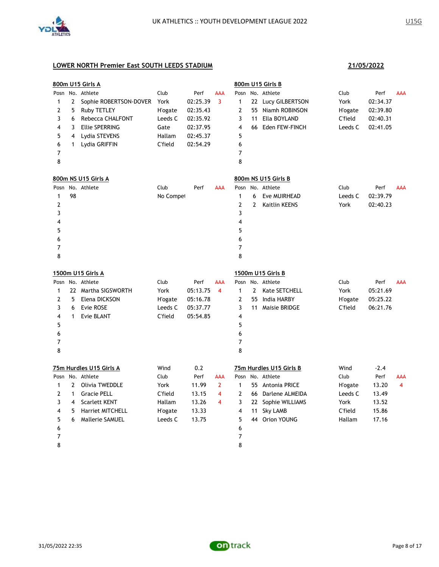

|                |              | 800m U15 Girls A        |           |          |                |                |              | 800m U15 Girls B        |         |          |            |
|----------------|--------------|-------------------------|-----------|----------|----------------|----------------|--------------|-------------------------|---------|----------|------------|
|                |              | Posn No. Athlete        | Club      | Perf     | <b>AAA</b>     |                |              | Posn No. Athlete        | Club    | Perf     | <b>AAA</b> |
| 1              | $\mathbf{2}$ | Sophie ROBERTSON-DOVER  | York      | 02:25.39 | 3              | 1              |              | 22 Lucy GILBERTSON      | York    | 02:34.37 |            |
| 2              | 5            | Ruby TETLEY             | H'ogate   | 02:35.43 |                | 2              |              | 55 Niamh ROBINSON       | H'ogate | 02:39.80 |            |
| 3              | 6            | Rebecca CHALFONT        | Leeds C   | 02:35.92 |                | 3              | 11           | Ella BOYLAND            | C'field | 02:40.31 |            |
| 4              | 3            | <b>Ellie SPERRING</b>   | Gate      | 02:37.95 |                | 4              |              | 66 Eden FEW-FINCH       | Leeds C | 02:41.05 |            |
| 5              | 4            | Lydia STEVENS           | Hallam    | 02:45.37 |                | 5              |              |                         |         |          |            |
| 6              | 1            | Lydia GRIFFIN           | C'field   | 02:54.29 |                | 6              |              |                         |         |          |            |
| $\overline{7}$ |              |                         |           |          |                | $\overline{7}$ |              |                         |         |          |            |
| 8              |              |                         |           |          |                | 8              |              |                         |         |          |            |
|                |              | 800m NS U15 Girls A     |           |          |                |                |              | 800m NS U15 Girls B     |         |          |            |
| Posn           |              | No. Athlete             | Club      | Perf     | <b>AAA</b>     | Posn           |              | No. Athlete             | Club    | Perf     | AAA        |
| 1              | 98           |                         | No Compet |          |                | $\mathbf{1}$   | 6            | Eve MUIRHEAD            | Leeds C | 02:39.79 |            |
| 2              |              |                         |           |          |                | $\overline{2}$ | 2            | <b>Kaitlin KEENS</b>    | York    | 02:40.23 |            |
| 3              |              |                         |           |          |                | 3              |              |                         |         |          |            |
| 4              |              |                         |           |          |                | 4              |              |                         |         |          |            |
| 5              |              |                         |           |          |                | 5              |              |                         |         |          |            |
| 6              |              |                         |           |          |                | 6              |              |                         |         |          |            |
| 7              |              |                         |           |          |                | 7              |              |                         |         |          |            |
| 8              |              |                         |           |          |                | 8              |              |                         |         |          |            |
|                |              | 1500m U15 Girls A       |           |          |                |                |              | 1500m U15 Girls B       |         |          |            |
|                |              | Posn No. Athlete        | Club      | Perf     | <b>AAA</b>     |                |              | Posn No. Athlete        | Club    | Perf     | <b>AAA</b> |
| 1              |              | 22 Martha SIGSWORTH     | York      | 05:13.75 | 4              | $\mathbf{1}$   | $\mathbf{2}$ | Kate SETCHELL           | York    | 05:21.69 |            |
| 2              | 5            | Elena DICKSON           | H'ogate   | 05:16.78 |                | 2              | 55           | India HARBY             | H'ogate | 05:25.22 |            |
| 3              | 6            | Evie ROSE               | Leeds C   | 05:37.77 |                | 3              | 11           | Maisie BRIDGE           | C'field | 06:21.76 |            |
| 4              | $\mathbf{1}$ | <b>Evie BLANT</b>       | C'field   | 05:54.85 |                | 4              |              |                         |         |          |            |
| 5              |              |                         |           |          |                | 5              |              |                         |         |          |            |
| 6              |              |                         |           |          |                | 6              |              |                         |         |          |            |
| $\overline{7}$ |              |                         |           |          |                | $\overline{7}$ |              |                         |         |          |            |
| 8              |              |                         |           |          |                | 8              |              |                         |         |          |            |
|                |              | 75m Hurdles U15 Girls A | Wind      | 0.2      |                |                |              | 75m Hurdles U15 Girls B | Wind    | $-2.4$   |            |
|                |              | Posn No. Athlete        | Club      | Perf     | <b>AAA</b>     |                |              | Posn No. Athlete        | Club    | Perf     | <b>AAA</b> |
| 1              | 2            | Olivia TWEDDLE          | York      | 11.99    | $\overline{2}$ | 1              |              | 55 Antonia PRICE        | H'ogate | 13.20    | 4          |
| 2              | $\mathbf{1}$ | <b>Gracie PELL</b>      | C'field   | 13.15    | 4              | 2              | 66           | Darlene ALMEIDA         | Leeds C | 13.49    |            |
| 3              | 4            | <b>Scarlett KENT</b>    | Hallam    | 13.26    | 4              | 3              |              | 22 Sophie WILLIAMS      | York    | 13.52    |            |
| 4              | 5            | <b>Harriet MITCHELL</b> | H'ogate   | 13.33    |                | 4              | 11           | <b>Sky LAMB</b>         | C'field | 15.86    |            |
| 5              | 6            | Mallerie SAMUEL         | Leeds C   | 13.75    |                | 5              |              | 44 Orion YOUNG          | Hallam  | 17.16    |            |
| 6              |              |                         |           |          |                | 6              |              |                         |         |          |            |
| 7              |              |                         |           |          |                | $\overline{7}$ |              |                         |         |          |            |
| 8              |              |                         |           |          |                | 8              |              |                         |         |          |            |

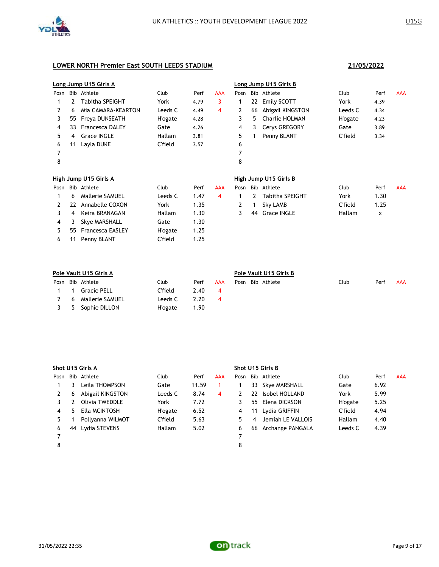

|      | Long Jump U15 Girls A |                         |                 |      |            | Long Jump U15 Girls B |    |                        |                 |      |            |
|------|-----------------------|-------------------------|-----------------|------|------------|-----------------------|----|------------------------|-----------------|------|------------|
| Posn |                       | Bib Athlete             | Club            | Perf | <b>AAA</b> | Posn                  |    | Bib Athlete            | Club            | Perf | <b>AAA</b> |
|      | 2                     | <b>Tabitha SPEIGHT</b>  | York            | 4.79 | 3          | 1                     | 22 | <b>Emily SCOTT</b>     | York            | 4.39 |            |
| 2    | 6                     | Mia CAMARA-KEARTON      | Leeds C         | 4.49 | 4          | 2                     | 66 | Abigail KINGSTON       | Leeds C         | 4.34 |            |
| 3    | 55                    | Freya DUNSEATH          | <b>H</b> 'ogate | 4.28 |            | 3                     | 5. | Charlie HOLMAN         | <b>H</b> 'ogate | 4.23 |            |
| 4    | 33                    | <b>Francesca DALEY</b>  | Gate            | 4.26 |            | 4                     | 3  | Cerys GREGORY          | Gate            | 3.89 |            |
| 5.   | 4                     | <b>Grace INGLE</b>      | Hallam          | 3.81 |            | 5                     |    | Penny BLANT            | C'field         | 3.34 |            |
| 6    | 11                    | Layla DUKE              | C'field         | 3.57 |            | 6                     |    |                        |                 |      |            |
| 7    |                       |                         |                 |      |            | 7                     |    |                        |                 |      |            |
| 8    |                       |                         |                 |      |            | 8                     |    |                        |                 |      |            |
|      |                       | High Jump U15 Girls A   |                 |      |            |                       |    | High Jump U15 Girls B  |                 |      |            |
| Posn |                       | Bib Athlete             | Club            | Perf | <b>AAA</b> | Posn                  |    | Bib Athlete            | Club            | Perf | <b>AAA</b> |
| 1    | 6                     | <b>Mallerie SAMUEL</b>  | Leeds C         | 1.47 | 4          | 1                     | 2  | <b>Tabitha SPEIGHT</b> | York            | 1.30 |            |
| 2    | 22                    | Annabelle COXON         | York            | 1.35 |            | 2                     | 1  | Sky LAMB               | C'field         | 1.25 |            |
| 3    | 4                     | Keira BRANAGAN          | Hallam          | 1.30 |            | 3                     | 44 | <b>Grace INGLE</b>     | Hallam          | x    |            |
| 4    | 3                     | Skye MARSHALL           | Gate            | 1.30 |            |                       |    |                        |                 |      |            |
| 5.   | 55.                   | <b>Francesca EASLEY</b> | <b>H</b> 'ogate | 1.25 |            |                       |    |                        |                 |      |            |
| 6    | 11                    | Penny BLANT             | C'field         | 1.25 |            |                       |    |                        |                 |      |            |

|   | Pole Vault U15 Girls A |                  |         |      |     | Pole Vault U15 Girls B |  |                  |      |      |     |
|---|------------------------|------------------|---------|------|-----|------------------------|--|------------------|------|------|-----|
|   |                        | Posn Bib Athlete | Club    | Perf | AAA |                        |  | Posn Bib Athlete | Club | Perf | AAA |
|   | $\blacksquare$         | Gracie PELL      | C'field | 2.40 |     |                        |  |                  |      |      |     |
|   | - 6                    | Mallerie SAMUEL  | Leeds C | 2.20 |     |                        |  |                  |      |      |     |
| 3 | -5                     | Sophie DILLON    | H'ogate | 1.90 |     |                        |  |                  |      |      |     |

|      | Shot U15 Girls A |                  |                |       |     | Shot U15 Girls B |     |                   |               |      |     |  |
|------|------------------|------------------|----------------|-------|-----|------------------|-----|-------------------|---------------|------|-----|--|
| Posn |                  | Bib Athlete      | Club           | Perf  | AAA | Posn             |     | Bib Athlete       | Club          | Perf | AAA |  |
|      |                  | Leila THOMPSON   | Gate           | 11.59 |     |                  | 33  | Skye MARSHALL     | Gate          | 6.92 |     |  |
|      | 6                | Abigail KINGSTON | Leeds C        | 8.74  | 4   |                  | 22. | Isobel HOLLAND    | York          | 5.99 |     |  |
|      |                  | Olivia TWEDDLE   | York           | 7.72  |     |                  |     | 55 Elena DICKSON  | H'ogate       | 5.25 |     |  |
| 4    | 5.               | Ella MCINTOSH    | <b>H'ogate</b> | 6.52  |     | 4                | 11  | Lydia GRIFFIN     | C'field       | 4.94 |     |  |
| 5.   |                  | Pollyanna WILMOT | C'field        | 5.63  |     | 5                | 4   | Jemiah LE VALLOIS | <b>Hallam</b> | 4.40 |     |  |
| 6    | 44               | Lydia STEVENS    | Hallam         | 5.02  |     | 6                | 66  | Archange PANGALA  | Leeds C       | 4.39 |     |  |
|      |                  |                  |                |       |     |                  |     |                   |               |      |     |  |
| 8    |                  |                  |                |       |     | 8                |     |                   |               |      |     |  |

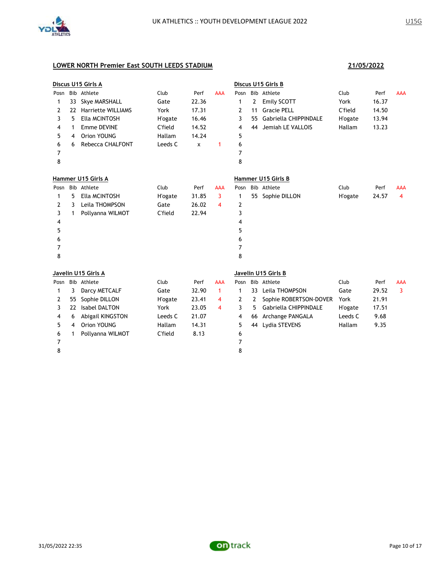

|      |    | Discus U15 Girls A        |                 |       |                |      |    | Discus U15 Girls B     |         |       |            |
|------|----|---------------------------|-----------------|-------|----------------|------|----|------------------------|---------|-------|------------|
| Posn |    | Bib Athlete               | Club            | Perf  | <b>AAA</b>     | Posn |    | Bib Athlete            | Club    | Perf  | <b>AAA</b> |
| 1    | 33 | <b>Skye MARSHALL</b>      | Gate            | 22.36 |                | 1    | 2  | Emily SCOTT            | York    | 16.37 |            |
| 2    | 22 | <b>Harriette WILLIAMS</b> | York            | 17.31 |                | 2    | 11 | <b>Gracie PELL</b>     | C'field | 14.50 |            |
| 3    | 5  | Ella MCINTOSH             | <b>H'ogate</b>  | 16.46 |                | 3    | 55 | Gabriella CHIPPINDALE  | H'ogate | 13.94 |            |
| 4    | 1  | Emme DEVINE               | C'field         | 14.52 |                | 4    | 44 | Jemiah LE VALLOIS      | Hallam  | 13.23 |            |
| 5    | 4  | Orion YOUNG               | Hallam          | 14.24 |                | 5    |    |                        |         |       |            |
| 6    | 6  | <b>Rebecca CHALFONT</b>   | Leeds C         | X     | $\mathbf{1}$   | 6    |    |                        |         |       |            |
| 7    |    |                           |                 |       |                | 7    |    |                        |         |       |            |
| 8    |    |                           |                 |       |                | 8    |    |                        |         |       |            |
|      |    | Hammer U15 Girls A        |                 |       |                |      |    | Hammer U15 Girls B     |         |       |            |
| Posn |    | Bib Athlete               | Club            | Perf  | <b>AAA</b>     | Posn |    | Bib Athlete            | Club    | Perf  | <b>AAA</b> |
| 1    | 5  | Ella MCINTOSH             | <b>H'ogate</b>  | 31.85 | $\overline{3}$ | 1    |    | 55 Sophie DILLON       | H'ogate | 24.57 | 4          |
| 2    | 3  | Leila THOMPSON            | Gate            | 26.02 | 4              | 2    |    |                        |         |       |            |
| 3    | 1  | Pollyanna WILMOT          | C'field         | 22.94 |                | 3    |    |                        |         |       |            |
| 4    |    |                           |                 |       |                | 4    |    |                        |         |       |            |
| 5    |    |                           |                 |       |                | 5    |    |                        |         |       |            |
| 6    |    |                           |                 |       |                | 6    |    |                        |         |       |            |
| 7    |    |                           |                 |       |                | 7    |    |                        |         |       |            |
| 8    |    |                           |                 |       |                | 8    |    |                        |         |       |            |
|      |    | Javelin U15 Girls A       |                 |       |                |      |    | Javelin U15 Girls B    |         |       |            |
| Posn |    | Bib Athlete               | Club            | Perf  | <b>AAA</b>     | Posn |    | Bib Athlete            | Club    | Perf  | <b>AAA</b> |
| 1    | 3  | Darcy METCALF             | Gate            | 32.90 | $\mathbf{1}$   | 1    | 33 | Leila THOMPSON         | Gate    | 29.52 | 3          |
| 2    | 55 | Sophie DILLON             | <b>H</b> 'ogate | 23.41 | 4              | 2    | 2  | Sophie ROBERTSON-DOVER | York    | 21.91 |            |
| 3    | 22 | <b>Isabel DALTON</b>      | York            | 23.05 | 4              | 3    | 5. | Gabriella CHIPPINDALE  | H'ogate | 17.51 |            |
| 4    | 6  | Abigail KINGSTON          | Leeds C         | 21.07 |                | 4    | 66 | Archange PANGALA       | Leeds C | 9.68  |            |
| 5    | 4  | Orion YOUNG               | Hallam          | 14.31 |                | 5    | 44 | Lydia STEVENS          | Hallam  | 9.35  |            |
| 6    | 1  | Pollyanna WILMOT          | C'field         | 8.13  |                | 6    |    |                        |         |       |            |
| 7    |    |                           |                 |       |                | 7    |    |                        |         |       |            |
| 8    |    |                           |                 |       |                | 8    |    |                        |         |       |            |
|      |    |                           |                 |       |                |      |    |                        |         |       |            |

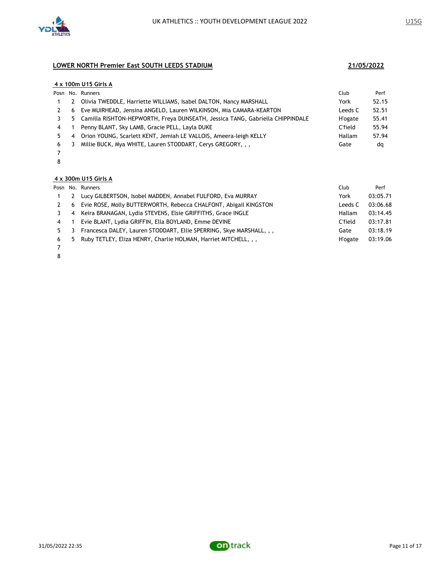

### **4 x 100m U15 Girls A**

|    |                         | Posn No. Runners                                                              | Club           | Perf  |
|----|-------------------------|-------------------------------------------------------------------------------|----------------|-------|
|    | 2                       | Olivia TWEDDLE, Harriette WILLIAMS, Isabel DALTON, Nancy MARSHALL             | York           | 52.15 |
|    | 6                       | Eve MUIRHEAD, Jensina ANGELO, Lauren WILKINSON, Mia CAMARA-KEARTON            | Leeds C        | 52.51 |
|    | 5.                      | Camilla RISHTON-HEPWORTH, Freya DUNSEATH, Jessica TANG, Gabriella CHIPPINDALE | <b>H'ogate</b> | 55.41 |
| 4  |                         | Penny BLANT, Sky LAMB, Gracie PELL, Layla DUKE                                | C'field        | 55.94 |
| 5. | -4                      | Orion YOUNG, Scarlett KENT, Jemiah LE VALLOIS, Ameera-leigh KELLY             | Hallam         | 57.94 |
| 6  | $\overline{\mathbf{3}}$ | Millie BUCK, Mya WHITE, Lauren STODDART, Cerys GREGORY, , ,                   | Gate           | dq    |
|    |                         |                                                                               |                |       |

 

### **4 x 300m U15 Girls A**

|     |   | Posn No. Runners                                                     | Club           | Perf     |
|-----|---|----------------------------------------------------------------------|----------------|----------|
|     | 2 | Lucy GILBERTSON, Isobel MADDEN, Annabel FULFORD, Eva MURRAY          | York           | 03:05.71 |
|     | 6 | Evie ROSE, Molly BUTTERWORTH, Rebecca CHALFONT, Abigail KINGSTON     | Leeds C        | 03:06.68 |
|     |   | 4 Keira BRANAGAN, Lydia STEVENS, Elsie GRIFFITHS, Grace INGLE        | Hallam         | 03:14.45 |
| 4 1 |   | Evie BLANT, Lydia GRIFFIN, Ella BOYLAND, Emme DEVINE                 | C'field        | 03:17.81 |
| 5.  | 3 | Francesca DALEY, Lauren STODDART, Ellie SPERRING, Skye MARSHALL, , , | Gate           | 03:18.19 |
| 6   |   | 5 Ruby TETLEY, Eliza HENRY, Charlie HOLMAN, Harriet MITCHELL, , ,    | <b>H'ogate</b> | 03:19.06 |
|     |   |                                                                      |                |          |

 

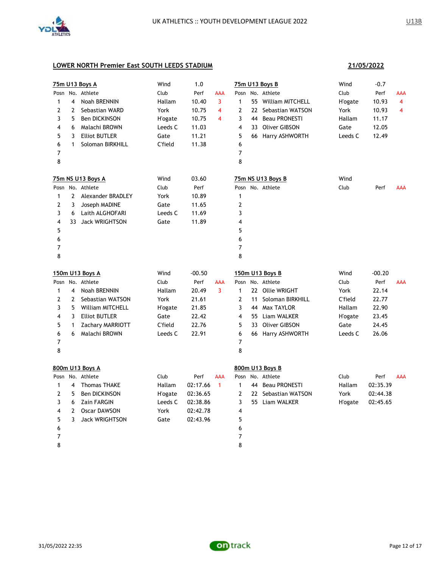

|              |                | 75m U13 Boys A        | Wind            | 1.0      |                         |                         |    | 75m U13 Boys B      | Wind            | $-0.7$   |                |
|--------------|----------------|-----------------------|-----------------|----------|-------------------------|-------------------------|----|---------------------|-----------------|----------|----------------|
|              |                | Posn No. Athlete      | Club            | Perf     | <b>AAA</b>              |                         |    | Posn No. Athlete    | Club            | Perf     | AAA            |
| $\mathbf{1}$ | 4              | Noah BRENNIN          | Hallam          | 10.40    | 3                       | $\mathbf{1}$            | 55 | William MITCHELL    | <b>H'ogate</b>  | 10.93    | $\overline{4}$ |
| 2            | 2              | Sebastian WARD        | York            | 10.75    | $\overline{\mathbf{4}}$ | $\overline{2}$          |    | 22 Sebastian WATSON | York            | 10.93    | 4              |
| 3            | 5              | Ben DICKINSON         | <b>H</b> 'ogate | 10.75    | 4                       | 3                       |    | 44 Beau PRONESTI    | Hallam          | 11.17    |                |
| 4            | 6              | Malachi BROWN         | Leeds C         | 11.03    |                         | $\overline{\mathbf{4}}$ |    | 33 Oliver GIBSON    | Gate            | 12.05    |                |
| 5            | 3              | <b>Elliot BUTLER</b>  | Gate            | 11.21    |                         | 5                       |    | 66 Harry ASHWORTH   | Leeds C         | 12.49    |                |
| 6            | 1              | Soloman BIRKHILL      | C'field         | 11.38    |                         | 6                       |    |                     |                 |          |                |
| 7            |                |                       |                 |          |                         | $\overline{7}$          |    |                     |                 |          |                |
| 8            |                |                       |                 |          |                         | 8                       |    |                     |                 |          |                |
|              |                | 75m NS U13 Boys A     | Wind            | 03.60    |                         |                         |    | 75m NS U13 Boys B   | Wind            |          |                |
|              |                | Posn No. Athlete      | Club            | Perf     |                         |                         |    | Posn No. Athlete    | Club            | Perf     | <b>AAA</b>     |
| 1            | $\mathbf{2}$   | Alexander BRADLEY     | York            | 10.89    |                         | $\mathbf{1}$            |    |                     |                 |          |                |
| 2            | 3              | Joseph MADINE         | Gate            | 11.65    |                         | $\overline{2}$          |    |                     |                 |          |                |
| 3            | 6              | Laith ALGHOFARI       | Leeds C         | 11.69    |                         | 3                       |    |                     |                 |          |                |
| 4            | 33             | <b>Jack WRIGHTSON</b> | Gate            | 11.89    |                         | $\overline{4}$          |    |                     |                 |          |                |
| 5            |                |                       |                 |          |                         | 5                       |    |                     |                 |          |                |
| 6            |                |                       |                 |          |                         | 6                       |    |                     |                 |          |                |
| 7            |                |                       |                 |          |                         | $\overline{7}$          |    |                     |                 |          |                |
| 8            |                |                       |                 |          |                         | 8                       |    |                     |                 |          |                |
|              |                | 150m U13 Boys A       | Wind            | $-00.50$ |                         |                         |    | 150m U13 Boys B     | Wind            | $-00.20$ |                |
| Posn         |                | No. Athlete           | Club            | Perf     | <b>AAA</b>              | Posn                    |    | No. Athlete         | Club            | Perf     | <b>AAA</b>     |
| $\mathbf{1}$ | $\overline{4}$ | <b>Noah BRENNIN</b>   | Hallam          | 20.49    | 3                       | $\mathbf{1}$            |    | 22 Ollie WRIGHT     | York            | 22.14    |                |
| 2            | $\overline{2}$ | Sebastian WATSON      | York            | 21.61    |                         | $\overline{2}$          | 11 | Soloman BIRKHILL    | C'field         | 22.77    |                |
| 3            | 5              | William MITCHELL      | <b>H'ogate</b>  | 21.85    |                         | 3                       |    | 44 Max TAYLOR       | Hallam          | 22.90    |                |
| 4            | 3              | <b>Elliot BUTLER</b>  | Gate            | 22.42    |                         | 4                       |    | 55 Liam WALKER      | <b>H</b> 'ogate | 23.45    |                |
| 5            | 1              | Zachary MARRIOTT      | C'field         | 22.76    |                         | 5                       |    | 33 Oliver GIBSON    | Gate            | 24.45    |                |
| 6            | 6              | Malachi BROWN         | Leeds C         | 22.91    |                         | 6                       |    | 66 Harry ASHWORTH   | Leeds C         | 26.06    |                |
| 7            |                |                       |                 |          |                         | $\overline{7}$          |    |                     |                 |          |                |
| 8            |                |                       |                 |          |                         | 8                       |    |                     |                 |          |                |
|              |                | 800m U13 Boys A       |                 |          |                         |                         |    | 800m U13 Boys B     |                 |          |                |
| Posn         |                | No. Athlete           | Club            | Perf     | <b>AAA</b>              | Posn                    |    | No. Athlete         | Club            | Perf     | <b>AAA</b>     |
| $\mathbf{1}$ | $\overline{4}$ | <b>Thomas THAKE</b>   | Hallam          | 02:17.66 | $\mathbf{1}$            | $\mathbf{1}$            |    | 44 Beau PRONESTI    | Hallam          | 02:35.39 |                |
| 2            | 5              | <b>Ben DICKINSON</b>  | <b>H</b> 'ogate | 02:36.65 |                         | $\overline{2}$          |    | 22 Sebastian WATSON | York            | 02:44.38 |                |
| 3            | 6              | <b>Zain FARGIN</b>    | Leeds C         | 02:38.86 |                         | 3                       |    | 55 Liam WALKER      | <b>H</b> 'ogate | 02:45.65 |                |
| 4            | 2              | <b>Oscar DAWSON</b>   | York            | 02:42.78 |                         | $\overline{4}$          |    |                     |                 |          |                |
| 5            | 3              | <b>Jack WRIGHTSON</b> | Gate            | 02:43.96 |                         | 5                       |    |                     |                 |          |                |
| 6            |                |                       |                 |          |                         | 6                       |    |                     |                 |          |                |
| 7            |                |                       |                 |          |                         | $\overline{7}$          |    |                     |                 |          |                |
| 8            |                |                       |                 |          |                         | 8                       |    |                     |                 |          |                |

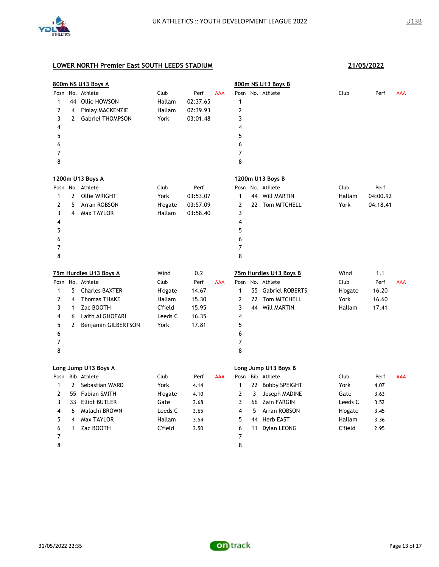

|                                |              | 800m NS U13 Boys A                                             |                          |                              |            |                     |    | 800m NS U13 Boys B     |                 |          |            |
|--------------------------------|--------------|----------------------------------------------------------------|--------------------------|------------------------------|------------|---------------------|----|------------------------|-----------------|----------|------------|
| $\mathbf{1}$<br>$\overline{2}$ | 4            | Posn No. Athlete<br>44 Ollie HOWSON<br><b>Finlay MACKENZIE</b> | Club<br>Hallam<br>Hallam | Perf<br>02:37.65<br>02:39.93 | <b>AAA</b> | 1<br>$\mathbf{2}$   |    | Posn No. Athlete       | Club            | Perf     | <b>AAA</b> |
| 3<br>4                         | $\mathbf{2}$ | <b>Gabriel THOMPSON</b>                                        | York                     | 03:01.48                     |            | 3<br>4              |    |                        |                 |          |            |
| 5                              |              |                                                                |                          |                              |            | 5                   |    |                        |                 |          |            |
| 6                              |              |                                                                |                          |                              |            | 6                   |    |                        |                 |          |            |
| 7<br>8                         |              |                                                                |                          |                              |            | $\overline{7}$<br>8 |    |                        |                 |          |            |
|                                |              | 1200m U13 Boys A                                               |                          |                              |            |                     |    | 1200m U13 Boys B       |                 |          |            |
| Posn                           |              | No. Athlete                                                    | Club                     | Perf                         |            | Posn                |    | No. Athlete            | Club            | Perf     |            |
| 1                              | $\mathbf{2}$ | <b>Ollie WRIGHT</b>                                            | York                     | 03:53.07                     |            | 1                   |    | 44 Will MARTIN         | Hallam          | 04:00.92 |            |
| 2                              | 5            | Arran ROBSON                                                   | H'ogate                  | 03:57.09                     |            | $\overline{2}$      |    | 22 Tom MITCHELL        | York            | 04:18.41 |            |
| 3                              | 4            | Max TAYLOR                                                     | Hallam                   | 03:58.40                     |            | 3                   |    |                        |                 |          |            |
| 4                              |              |                                                                |                          |                              |            | 4                   |    |                        |                 |          |            |
| 5                              |              |                                                                |                          |                              |            | 5                   |    |                        |                 |          |            |
| 6                              |              |                                                                |                          |                              |            | 6                   |    |                        |                 |          |            |
| 7                              |              |                                                                |                          |                              |            | 7                   |    |                        |                 |          |            |
| 8                              |              |                                                                |                          |                              |            | 8                   |    |                        |                 |          |            |
|                                |              | 75m Hurdles U13 Boys A                                         | Wind                     | 0.2                          |            |                     |    | 75m Hurdles U13 Boys B | Wind            | 1.1      |            |
|                                |              | Posn No. Athlete                                               | Club                     | Perf                         | AAA        |                     |    | Posn No. Athlete       | Club            | Perf     | <b>AAA</b> |
| $\mathbf{1}$                   | 5.           | <b>Charles BAXTER</b>                                          | H'ogate                  | 14.67                        |            | $\mathbf{1}$        |    | 55 Gabriel ROBERTS     | <b>H</b> 'ogate | 16.20    |            |
| 2                              | 4            | <b>Thomas THAKE</b>                                            | Hallam                   | 15.30                        |            | $\overline{2}$      |    | 22 Tom MITCHELL        | York            | 16.60    |            |
| 3                              | 1            | Zac BOOTH                                                      | C'field                  | 15.95                        |            | 3                   |    | 44 Will MARTIN         | Hallam          | 17.41    |            |
| 4                              | 6            | Laith ALGHOFARI                                                | Leeds C                  | 16.35                        |            | 4                   |    |                        |                 |          |            |
| 5                              | 2            | Benjamin GILBERTSON                                            | York                     | 17.81                        |            | 5                   |    |                        |                 |          |            |
| 6                              |              |                                                                |                          |                              |            | 6                   |    |                        |                 |          |            |
| $\overline{7}$                 |              |                                                                |                          |                              |            | 7                   |    |                        |                 |          |            |
| 8                              |              |                                                                |                          |                              |            | 8                   |    |                        |                 |          |            |
|                                |              | Long Jump U13 Boys A                                           |                          |                              |            |                     |    | Long Jump U13 Boys B   |                 |          |            |
| Posn                           |              | Bib Athlete                                                    | Club                     | Perf                         | <b>AAA</b> | Posn                |    | Bib Athlete            | Club            | Perf     | <b>AAA</b> |
| $\mathbf{1}$                   | $\mathbf{2}$ | Sebastian WARD                                                 | York                     | 4.14                         |            | $\mathbf{1}$        |    | 22 Bobby SPEIGHT       | York            | 4.07     |            |
| $\overline{2}$                 |              | 55 Fabian SMITH                                                | H'ogate                  | 4.10                         |            | $\mathbf{2}$        | 3  | Joseph MADINE          | Gate            | 3.63     |            |
| 3                              |              | 33 Elliot BUTLER                                               | Gate                     | 3.68                         |            | 3                   |    | 66 Zain FARGIN         | Leeds C         | 3.52     |            |
| 4                              | 6            | Malachi BROWN                                                  | Leeds C                  | 3.65                         |            | 4                   | 5  | Arran ROBSON           | <b>H</b> 'ogate | 3.45     |            |
| 5                              | 4            | Max TAYLOR                                                     | Hallam                   | 3.54                         |            | 5                   | 44 | <b>Herb EAST</b>       | Hallam          | 3.36     |            |
| 6                              | 1            | Zac BOOTH                                                      | C'field                  | 3.50                         |            | 6                   |    | 11 Dylan LEONG         | <b>C'field</b>  | 2.95     |            |
| 7                              |              |                                                                |                          |                              |            | 7                   |    |                        |                 |          |            |
| 8                              |              |                                                                |                          |                              |            | 8                   |    |                        |                 |          |            |

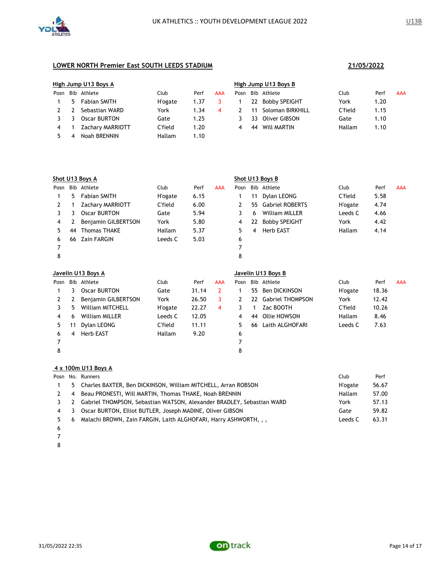

|      | High Jump U13 Boys A |                         |                 |      |     | High Jump U13 Boys B |      |                      |         |      |            |  |  |
|------|----------------------|-------------------------|-----------------|------|-----|----------------------|------|----------------------|---------|------|------------|--|--|
| Posn |                      | Bib Athlete             | Club            | Perf | AAA | Posn                 | Bib. | Athlete              | Club    | Perf | <b>AAA</b> |  |  |
|      | 5.                   | <b>Fabian SMITH</b>     | <b>H</b> 'ogate | 1.37 |     |                      | 22   | <b>Bobby SPEIGHT</b> | York    | 1.20 |            |  |  |
|      |                      | Sebastian WARD          | York            | 1.34 | 4   |                      |      | Soloman BIRKHILL     | C'field | 1.15 |            |  |  |
|      |                      | Oscar BURTON            | Gate            | 1.25 |     |                      | 33   | Oliver GIBSON        | Gate    | 1.10 |            |  |  |
| 4    |                      | <b>Zachary MARRIOTT</b> | C'field         | 1.20 |     | 4                    | 44   | Will MARTIN          | Hallam  | 1.10 |            |  |  |
|      |                      | Noah BRENNIN            | Hallam          | 1.10 |     |                      |      |                      |         |      |            |  |  |

|      | Shot U13 Boys A    |                         |                 |       |                | Shot U13 Boys B |    |                         |                 |       |            |
|------|--------------------|-------------------------|-----------------|-------|----------------|-----------------|----|-------------------------|-----------------|-------|------------|
| Posn |                    | Bib Athlete             | Club            | Perf  | <b>AAA</b>     | Posn            |    | Bib Athlete             | Club            | Perf  | <b>AAA</b> |
| 1    | 5                  | <b>Fabian SMITH</b>     | <b>H</b> 'ogate | 6.15  |                | 1               | 11 | Dylan LEONG             | C'field         | 5.58  |            |
| 2    | 1                  | Zachary MARRIOTT        | C'field         | 6.00  |                | 2               | 55 | <b>Gabriel ROBERTS</b>  | <b>H</b> 'ogate | 4.74  |            |
| 3    | 3                  | <b>Oscar BURTON</b>     | Gate            | 5.94  |                | 3               | 6  | <b>William MILLER</b>   | Leeds C         | 4.66  |            |
| 4    | 2                  | Benjamin GILBERTSON     | York            | 5.80  |                | 4               | 22 | <b>Bobby SPEIGHT</b>    | York            | 4.42  |            |
| 5    | 44                 | <b>Thomas THAKE</b>     | Hallam          | 5.37  |                | 5               | 4  | <b>Herb EAST</b>        | Hallam          | 4.14  |            |
| 6    | 66                 | <b>Zain FARGIN</b>      | Leeds C         | 5.03  |                | 6               |    |                         |                 |       |            |
| 7    |                    |                         |                 |       |                |                 |    |                         |                 |       |            |
| 8    |                    |                         |                 |       |                | 8               |    |                         |                 |       |            |
|      | Javelin U13 Boys A |                         |                 |       |                |                 |    | Javelin U13 Boys B      |                 |       |            |
| Posn |                    | Bib Athlete             | Club            | Perf  | <b>AAA</b>     | Posn            |    | Bib Athlete             | Club            | Perf  | <b>AAA</b> |
|      | 3                  | <b>Oscar BURTON</b>     | Gate            | 31.14 | $\overline{2}$ | 1               | 55 | <b>Ben DICKINSON</b>    | <b>H</b> 'ogate | 18.36 |            |
| 2    | 2                  | Benjamin GILBERTSON     | York            | 26.50 | 3              | 2               | 22 | <b>Gabriel THOMPSON</b> | York            | 12.42 |            |
| 3    | 5                  | <b>William MITCHELL</b> | <b>H</b> 'ogate | 22.27 | 4              | 3               | 1  | Zac BOOTH               | C'field         | 10.26 |            |
| 4    | 6                  | <b>William MILLER</b>   | Leeds C         | 12.05 |                | 4               | 44 | Ollie HOWSON            | Hallam          | 8.46  |            |
| 5    | 11                 | Dylan LEONG             | C'field         | 11.11 |                | 5               | 66 | Laith ALGHOFARI         | Leeds C         | 7.63  |            |
| 6    | 4                  | <b>Herb EAST</b>        | Hallam          | 9.20  |                | 6               |    |                         |                 |       |            |
| 7    |                    |                         |                 |       |                | 7               |    |                         |                 |       |            |
| 8    |                    |                         |                 |       |                | 8               |    |                         |                 |       |            |
|      |                    |                         |                 |       |                |                 |    |                         |                 |       |            |

### **4 x 100m U13 Boys A**

|    |    | Posn No. Runners                                                      | Club           | Perf  |
|----|----|-----------------------------------------------------------------------|----------------|-------|
|    | 5. | Charles BAXTER, Ben DICKINSON, William MITCHELL, Arran ROBSON         | <b>H'ogate</b> | 56.67 |
|    | 4  | Beau PRONESTI, Will MARTIN, Thomas THAKE, Noah BRENNIN                | Hallam         | 57.00 |
|    | 2  | Gabriel THOMPSON, Sebastian WATSON, Alexander BRADLEY, Sebastian WARD | York           | 57.13 |
| 4  | 3  | Oscar BURTON, Elliot BUTLER, Joseph MADINE, Oliver GIBSON             | Gate           | 59.82 |
| 5. | 6  | Malachi BROWN, Zain FARGIN, Laith ALGHOFARI, Harry ASHWORTH, , ,      | Leeds C        | 63.31 |
| -6 |    |                                                                       |                |       |

- 
- 

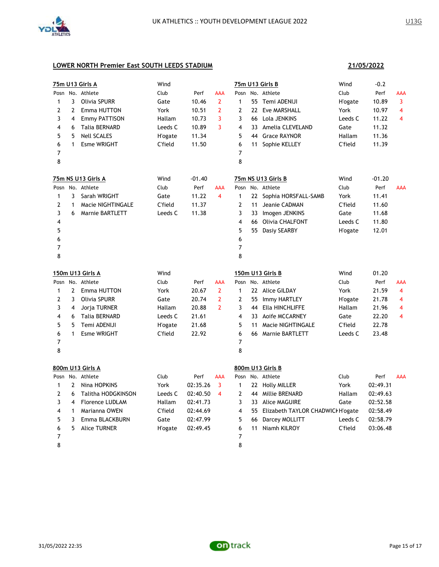

**21/05/2022**

# **LOWER NORTH Premier East SOUTH LEEDS STADIUM**

| <u>75m U13 Girls A</u> |                | Wind                   |                |          |                         |                | <u>75m U13 Girls B</u> | Wind                                 | -0.2           |          |                |
|------------------------|----------------|------------------------|----------------|----------|-------------------------|----------------|------------------------|--------------------------------------|----------------|----------|----------------|
| Posn                   |                | No. Athlete            | Club           | Perf     | AAA                     | Posn           |                        | No. Athlete                          | Club           | Perf     | AAA            |
| 1                      | 3              | <b>Olivia SPURR</b>    | Gate           | 10.46    | $\overline{2}$          | $\mathbf{1}$   |                        | 55 Temi ADENIJI                      | H'ogate        | 10.89    | 3              |
| 2                      | $\mathbf{2}$   | Emma HUTTON            | York           | 10.51    | $\overline{2}$          | $\overline{2}$ | 22                     | <b>Eve MARSHALL</b>                  | York           | 10.97    | $\overline{4}$ |
| 3                      | $\overline{4}$ | <b>Emmy PATTISON</b>   | Hallam         | 10.73    | 3                       | 3              | 66                     | Lola JENKINS                         | Leeds C        | 11.22    | 4              |
| 4                      | 6              | Talia BERNARD          | Leeds C        | 10.89    | 3                       | 4              | 33                     | Amelia CLEVELAND                     | Gate           | 11.32    |                |
| 5                      | 5              | <b>Nell SCALES</b>     | <b>H'ogate</b> | 11.34    |                         | 5              | 44                     | <b>Grace RAYNOR</b>                  | Hallam         | 11.36    |                |
| 6                      | 1              | <b>Esme WRIGHT</b>     | C'field        | 11.50    |                         | 6              | 11                     | Sophie KELLEY                        | C'field        | 11.39    |                |
| 7                      |                |                        |                |          |                         | 7              |                        |                                      |                |          |                |
| 8                      |                |                        |                |          |                         | 8              |                        |                                      |                |          |                |
|                        |                | 75m NS U13 Girls A     | Wind           | $-01.40$ |                         |                |                        | 75m NS U13 Girls B                   | Wind           | $-01.20$ |                |
|                        |                | Posn No. Athlete       | Club           | Perf     | AAA                     | Posn           |                        | No. Athlete                          | Club           | Perf     | <b>AAA</b>     |
| $\mathbf{1}$           | 3              | Sarah WRIGHT           | Gate           | 11.22    | $\overline{4}$          | $\mathbf{1}$   | 22                     | Sophia HORSFALL-SAMB                 | York           | 11.41    |                |
| $\overline{2}$         | $\mathbf{1}$   | Macie NIGHTINGALE      | C'field        | 11.37    |                         | $\mathbf{2}$   | 11                     | Jeanie CADMAN                        | C'field        | 11.60    |                |
| 3                      | 6              | <b>Marnie BARTLETT</b> | Leeds C        | 11.38    |                         | 3              | 33                     | Imogen JENKINS                       | Gate           | 11.68    |                |
| 4                      |                |                        |                |          |                         | 4              |                        | 66 Olivia CHALFONT                   | Leeds C        | 11.80    |                |
| 5                      |                |                        |                |          |                         | 5              |                        | 55 Dasiy SEARBY                      | H'ogate        | 12.01    |                |
| 6                      |                |                        |                |          |                         | 6              |                        |                                      |                |          |                |
| 7                      |                |                        |                |          |                         | 7              |                        |                                      |                |          |                |
| 8                      |                |                        |                |          |                         | 8              |                        |                                      |                |          |                |
|                        |                | 150m U13 Girls A       | Wind           |          |                         |                |                        | 150m U13 Girls B                     | Wind           | 01.20    |                |
|                        |                | Posn No. Athlete       | Club           | Perf     | AAA                     | Posn           |                        | No. Athlete                          | Club           | Perf     | AAA            |
| 1                      | $\mathbf{2}$   | Emma HUTTON            | York           | 20.67    | $\overline{2}$          | $\mathbf{1}$   |                        | 22 Alice GILDAY                      | York           | 21.59    | 4              |
| 2                      | 3              | Olivia SPURR           | Gate           | 20.74    | $\overline{2}$          | $\overline{2}$ | 55                     | Immy HARTLEY                         | <b>H'ogate</b> | 21.78    | 4              |
| 3                      | 4              | Jorja TURNER           | Hallam         | 20.88    | $\overline{2}$          | 3              | 44                     | Ella HINCHLIFFE                      | Hallam         | 21.96    | 4              |
| 4                      | 6              | Talia BERNARD          | Leeds C        | 21.61    |                         | 4              | 33                     | <b>Aoife MCCARNEY</b>                | Gate           | 22.20    | 4              |
| 5                      | 5              | Temi ADENIJI           | <b>H'ogate</b> | 21.68    |                         | 5              | 11                     | Macie NIGHTINGALE                    | C'field        | 22.78    |                |
| 6                      | 1              | <b>Esme WRIGHT</b>     | C'field        | 22.92    |                         | 6              | 66                     | <b>Marnie BARTLETT</b>               | Leeds C        | 23.48    |                |
| 7                      |                |                        |                |          |                         | 7              |                        |                                      |                |          |                |
| 8                      |                |                        |                |          |                         | 8              |                        |                                      |                |          |                |
|                        |                | 800m U13 Girls A       |                |          |                         |                |                        | 800m U13 Girls B                     |                |          |                |
|                        |                | Posn No. Athlete       | Club           | Perf     | AAA                     | Posn           |                        | No. Athlete                          | Club           | Perf     | <b>AAA</b>     |
| 1                      | $\overline{2}$ | Nina HOPKINS           | York           | 02:35.26 | 3                       | 1              | 22                     | <b>Holly MILLER</b>                  | York           | 02:49.31 |                |
| 2                      | 6              | Talitha HODGKINSON     | Leeds C        | 02:40.50 | $\overline{\mathbf{4}}$ | 2              | 44                     | Millie BRENARD                       | Hallam         | 02:49.63 |                |
| 3                      | 4              | <b>Florence LUDLAM</b> | Hallam         | 02:41.73 |                         | 3              |                        | 33 Alice MAGUIRE                     | Gate           | 02:52.58 |                |
| 4                      | $\mathbf{1}$   | Marianna OWEN          | C'field        | 02:44.69 |                         | 4              |                        | 55 Elizabeth TAYLOR CHADWICI H'ogate |                | 02:58.49 |                |
| 5                      | 3              | Emma BLACKBURN         | Gate           | 02:47.99 |                         | 5              | 66                     | Darcey MOLLITT                       | Leeds C        | 02:58.79 |                |
| 6                      | 5              | <b>Alice TURNER</b>    | H'ogate        | 02:49.45 |                         | 6              | 11                     | Niamh KILROY                         | C'field        | 03:06.48 |                |
| 7                      |                |                        |                |          |                         | $\overline{7}$ |                        |                                      |                |          |                |

8

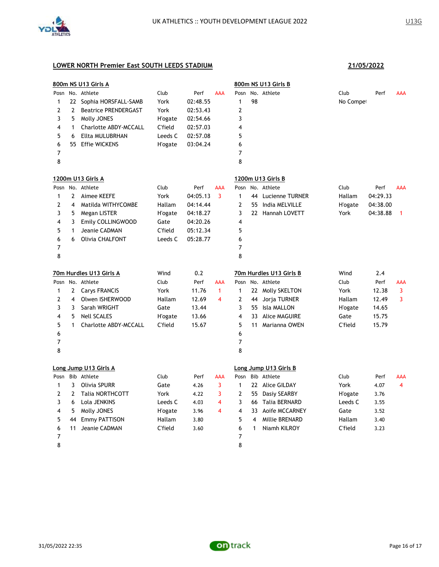

|                |                | 800m NS U13 Girls A         |                 |          |                         |                |                | 800m NS U13 Girls B     |                 |          |            |
|----------------|----------------|-----------------------------|-----------------|----------|-------------------------|----------------|----------------|-------------------------|-----------------|----------|------------|
|                |                | Posn No. Athlete            | Club            | Perf     | <b>AAA</b>              | Posn           |                | No. Athlete             | Club            | Perf     | <b>AAA</b> |
| 1              |                | 22 Sophia HORSFALL-SAMB     | York            | 02:48.55 |                         | 1              | 98             |                         | No Compet       |          |            |
| 2              | $\overline{2}$ | <b>Beatrice PRENDERGAST</b> | York            | 02:53.43 |                         | 2              |                |                         |                 |          |            |
| 3              | 5              | Molly JONES                 | <b>H</b> 'ogate | 02:54.66 |                         | 3              |                |                         |                 |          |            |
| 4              | $\mathbf{1}$   | Charlotte ABDY-MCCALL       | C'field         | 02:57.03 |                         | 4              |                |                         |                 |          |            |
| 5              | 6              | Ellta MULUBRHAN             | Leeds C         | 02:57.08 |                         | 5              |                |                         |                 |          |            |
| 6              | 55             | <b>Effie WICKENS</b>        | <b>H'ogate</b>  | 03:04.24 |                         | 6              |                |                         |                 |          |            |
| $\overline{7}$ |                |                             |                 |          |                         | $\overline{7}$ |                |                         |                 |          |            |
| 8              |                |                             |                 |          |                         | 8              |                |                         |                 |          |            |
|                |                | 1200m U13 Girls A           |                 |          |                         |                |                | 1200m U13 Girls B       |                 |          |            |
| Posn           |                | No. Athlete                 | Club            | Perf     | <b>AAA</b>              | Posn           |                | No. Athlete             | Club            | Perf     | AAA        |
| 1              | 2              | Aimee KEEFE                 | York            | 04:05.13 | 3                       | 1              | 44             | <b>Lucienne TURNER</b>  | Hallam          | 04:29.33 |            |
| 2              | 4              | Matilda WITHYCOMBE          | Hallam          | 04:14.44 |                         | 2              | 55             | India MELVILLE          | <b>H</b> 'ogate | 04:38.00 |            |
| 3              | 5              | Megan LISTER                | H'ogate         | 04:18.27 |                         | 3              |                | 22 Hannah LOVETT        | York            | 04:38.88 | 1          |
| 4              | 3              | Emily COLLINGWOOD           | Gate            | 04:20.26 |                         | 4              |                |                         |                 |          |            |
| 5              | $\mathbf{1}$   | Jeanie CADMAN               | C'field         | 05:12.34 |                         | 5              |                |                         |                 |          |            |
| 6              | 6              | <b>Olivia CHALFONT</b>      | Leeds C         | 05:28.77 |                         | 6              |                |                         |                 |          |            |
| 7              |                |                             |                 |          |                         | $\overline{7}$ |                |                         |                 |          |            |
| 8              |                |                             |                 |          |                         | 8              |                |                         |                 |          |            |
|                |                | 70m Hurdles U13 Girls A     | Wind            | 0.2      |                         |                |                | 70m Hurdles U13 Girls B | Wind            | 2.4      |            |
|                |                | Posn No. Athlete            | Club            | Perf     | <b>AAA</b>              |                |                | Posn No. Athlete        | Club            | Perf     | <b>AAA</b> |
| 1              | 2              | <b>Carys FRANCIS</b>        | York            | 11.76    | $\mathbf{1}$            | $\mathbf{1}$   |                | 22 Molly SKELTON        | York            | 12.38    | 3          |
| 2              | 4              | Olwen ISHERWOOD             | Hallam          | 12.69    | 4                       | 2              | 44             | Jorja TURNER            | Hallam          | 12.49    | 3          |
| 3              | 3              | Sarah WRIGHT                | Gate            | 13.44    |                         | 3              | 55             | Isla MALLON             | <b>H'ogate</b>  | 14.65    |            |
| 4              | 5              | <b>Nell SCALES</b>          | <b>H'ogate</b>  | 13.66    |                         | 4              |                | 33 Alice MAGUIRE        | Gate            | 15.75    |            |
| 5              | $\mathbf{1}$   | Charlotte ABDY-MCCALL       | <b>C'field</b>  | 15.67    |                         | 5              | 11             | Marianna OWEN           | C'field         | 15.79    |            |
| 6              |                |                             |                 |          |                         | 6              |                |                         |                 |          |            |
| 7              |                |                             |                 |          |                         | $\overline{7}$ |                |                         |                 |          |            |
| 8              |                |                             |                 |          |                         | 8              |                |                         |                 |          |            |
|                |                | Long Jump U13 Girls A       |                 |          |                         |                |                | Long Jump U13 Girls B   |                 |          |            |
| Posn           |                | Bib Athlete                 | Club            | Perf     | <b>AAA</b>              | Posn           |                | Bib Athlete             | Club            | Perf     | <b>AAA</b> |
| 1              | 3              | Olivia SPURR                | Gate            | 4.26     | 3                       | $\mathbf{1}$   |                | 22 Alice GILDAY         | York            | 4.07     | 4          |
| $\overline{2}$ | 2              | Talia NORTHCOTT             | York            | 4.22     | 3                       | 2              | 55             | Dasiy SEARBY            | H'ogate         | 3.76     |            |
| 3              | 6              | Lola JENKINS                | Leeds C         | 4.03     | 4                       | 3              |                | 66 Talia BERNARD        | Leeds C         | 3.55     |            |
| 4              | 5              | Molly JONES                 | H'ogate         | 3.96     | $\overline{\mathbf{4}}$ | 4              | 33             | <b>Aoife MCCARNEY</b>   | Gate            | 3.52     |            |
| 5              | 44             | <b>Emmy PATTISON</b>        | Hallam          | 3.80     |                         | 5              | $\overline{4}$ | Millie BRENARD          | Hallam          | 3.40     |            |
| 6              | 11             | Jeanie CADMAN               | C'field         | 3.60     |                         | 6              | $\mathbf{1}$   | Niamh KILROY            | C'field         | 3.23     |            |
|                |                |                             |                 |          |                         |                |                |                         |                 |          |            |
| 7              |                |                             |                 |          |                         | 7              |                |                         |                 |          |            |